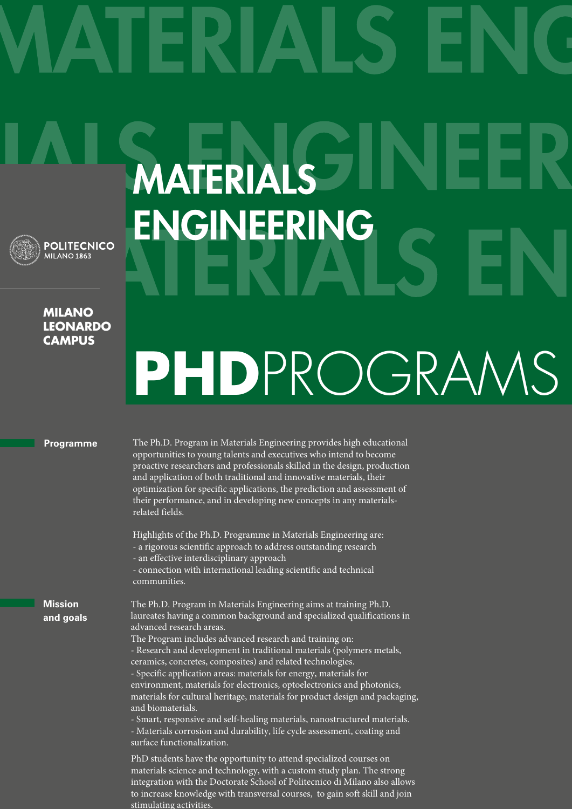MATERIAL

ENGINEERING

**POLITECNICO** MILANO<sub>1863</sub>

## **Milano leonardo campus**

## **PHDPROGRAM**

## **Programme**

The Ph.D. Program in Materials Engineering provides high educational opportunities to young talents and executives who intend to become proactive researchers and professionals skilled in the design, production and application of both traditional and innovative materials, their optimization for specific applications, the prediction and assessment of their performance, and in developing new concepts in any materialsrelated fields.

Highlights of the Ph.D. Programme in Materials Engineering are: - a rigorous scientific approach to address outstanding research - an effective interdisciplinary approach

- connection with international leading scientific and technical communities.

**Mission and goals** The Ph.D. Program in Materials Engineering aims at training Ph.D. laureates having a common background and specialized qualifications in advanced research areas.

The Program includes advanced research and training on: - Research and development in traditional materials (polymers metals, ceramics, concretes, composites) and related technologies.

- Specific application areas: materials for energy, materials for environment, materials for electronics, optoelectronics and photonics, materials for cultural heritage, materials for product design and packaging, and biomaterials.

- Smart, responsive and self-healing materials, nanostructured materials. - Materials corrosion and durability, life cycle assessment, coating and surface functionalization.

PhD students have the opportunity to attend specialized courses on materials science and technology, with a custom study plan. The strong integration with the Doctorate School of Politecnico di Milano also allows to increase knowledge with transversal courses, to gain soft skill and join stimulating activities.